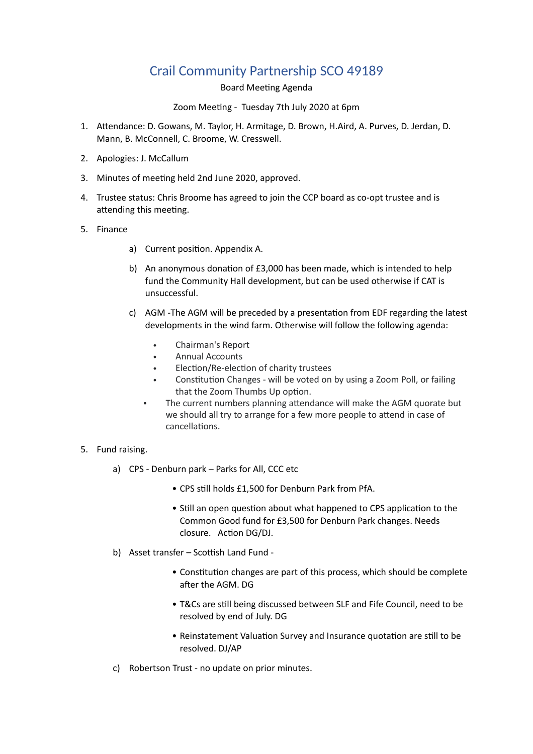# Crail Community Partnership SCO 49189

Board Meeting Agenda

Zoom Meeting - Tuesday 7th July 2020 at 6pm

- 1. Attendance: D. Gowans, M. Taylor, H. Armitage, D. Brown, H.Aird, A. Purves, D. Jerdan, D. Mann, B. McConnell, C. Broome, W. Cresswell.
- 2. Apologies: J. McCallum
- 3. Minutes of meeting held 2nd June 2020, approved.
- 4. Trustee status: Chris Broome has agreed to join the CCP board as co-opt trustee and is attending this meeting.
- 5. Finance
	- a) Current position. Appendix A.
	- b) An anonymous donation of  $£3,000$  has been made, which is intended to help fund the Community Hall development, but can be used otherwise if CAT is unsuccessful.
	- c) AGM -The AGM will be preceded by a presentation from EDF regarding the latest developments in the wind farm. Otherwise will follow the following agenda:
		- Chairman's Report
		- Annual Accounts
		- Election/Re-election of charity trustees
		- Constitution Changes will be voted on by using a Zoom Poll, or failing that the Zoom Thumbs Up option.
		- The current numbers planning attendance will make the AGM quorate but we should all try to arrange for a few more people to attend in case of cancellations.
- 5. Fund raising.
	- a) CPS Denburn park Parks for All, CCC etc
		- CPS still holds £1,500 for Denburn Park from PfA.
		- Still an open question about what happened to CPS application to the Common Good fund for £3,500 for Denburn Park changes. Needs closure. Action DG/DJ.
	- b) Asset transfer Scottish Land Fund -
		- Constitution changes are part of this process, which should be complete after the AGM. DG
		- T&Cs are still being discussed between SLF and Fife Council, need to be resolved by end of July. DG
		- Reinstatement Valuation Survey and Insurance quotation are still to be resolved. DJ/AP
	- c) Robertson Trust no update on prior minutes.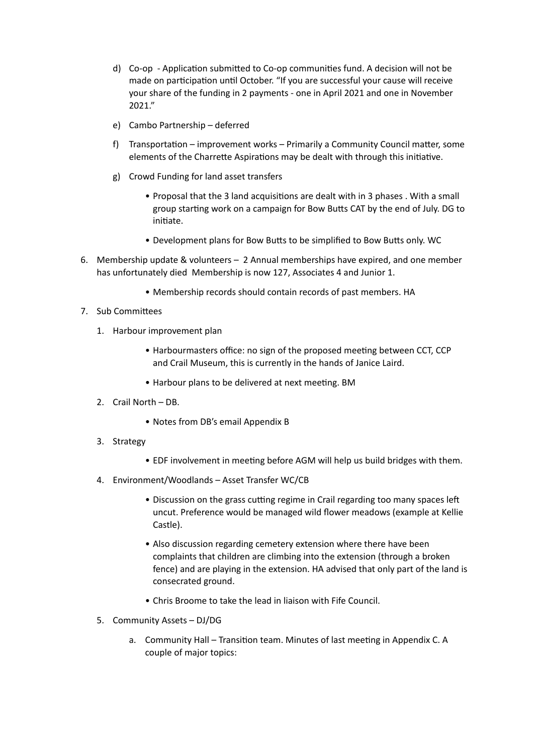- d) Co-op Application submitted to Co-op communities fund. A decision will not be made on participation until October. "If you are successful your cause will receive your share of the funding in 2 payments - one in April 2021 and one in November 2021."
- e) Cambo Partnership deferred
- f) Transportation improvement works Primarily a Community Council matter, some elements of the Charrette Aspirations may be dealt with through this initiative.
- g) Crowd Funding for land asset transfers
	- Proposal that the 3 land acquisitions are dealt with in 3 phases . With a small group starting work on a campaign for Bow Butts CAT by the end of July. DG to initiate.
	- Development plans for Bow Butts to be simplified to Bow Butts only. WC
- 6. Membership update & volunteers 2 Annual memberships have expired, and one member has unfortunately died Membership is now 127, Associates 4 and Junior 1.
	- Membership records should contain records of past members. HA
- 7. Sub Committees
	- 1. Harbour improvement plan
		- Harbourmasters office: no sign of the proposed meeting between CCT, CCP and Crail Museum, this is currently in the hands of Janice Laird.
		- Harbour plans to be delivered at next meeting. BM
	- 2. Crail North DB.
		- Notes from DB's email Appendix B
	- 3. Strategy
		- EDF involvement in meeting before AGM will help us build bridges with them.
	- 4. Environment/Woodlands Asset Transfer WC/CB
		- Discussion on the grass cutting regime in Crail regarding too many spaces left uncut. Preference would be managed wild flower meadows (example at Kellie Castle).
		- Also discussion regarding cemetery extension where there have been complaints that children are climbing into the extension (through a broken fence) and are playing in the extension. HA advised that only part of the land is consecrated ground.
		- Chris Broome to take the lead in liaison with Fife Council.
	- 5. Community Assets DJ/DG
		- a. Community Hall Transition team. Minutes of last meeting in Appendix C. A couple of major topics: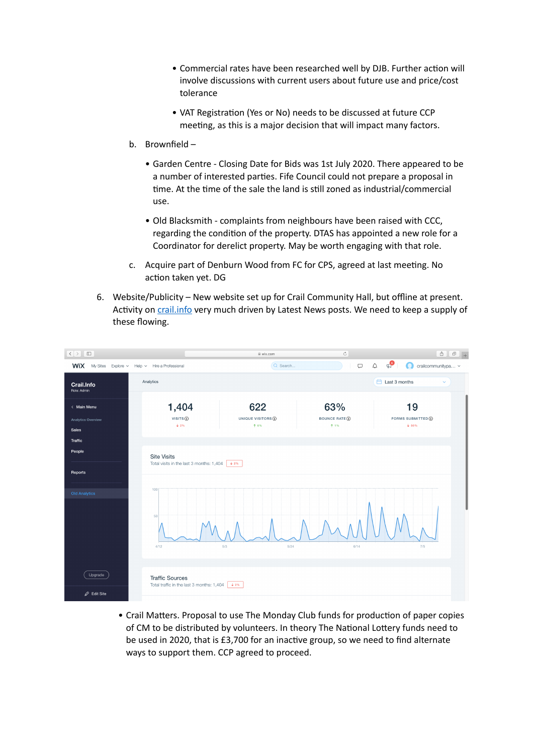- Commercial rates have been researched well by DJB. Further action will involve discussions with current users about future use and price/cost tolerance
- VAT Registration (Yes or No) needs to be discussed at future CCP meeting, as this is a major decision that will impact many factors.
- b. Brownfield
	- Garden Centre Closing Date for Bids was 1st July 2020. There appeared to be a number of interested parties. Fife Council could not prepare a proposal in time. At the time of the sale the land is still zoned as industrial/commercial use.
	- Old Blacksmith complaints from neighbours have been raised with CCC, regarding the condition of the property. DTAS has appointed a new role for a Coordinator for derelict property. May be worth engaging with that role.
- c. Acquire part of Denburn Wood from FC for CPS, agreed at last meeting. No action taken yet. DG
- 6. Website/Publicity New website set up for Crail Community Hall, but offline at present. Activity on [crail.info](http://crail.info) very much driven by Latest News posts. We need to keep a supply of these flowing.

|                                                   |                                                                                       | ₿ wix.com                          | $\rm C$                                | $\hat{\mathbb{C}}$<br>$\sigma$ <sub>+</sub>                  |
|---------------------------------------------------|---------------------------------------------------------------------------------------|------------------------------------|----------------------------------------|--------------------------------------------------------------|
| <b>WIX</b> My Sites                               | Explore v Help v Hire a Professional                                                  | Q Search                           | $\Delta$<br>$\cup$                     | $\mathbb{C}^{\bullet}$<br>$\bigcirc$ crailcommunitypa $\vee$ |
| Crail.Info<br>Role: Admin                         | Analytics                                                                             |                                    |                                        | $\Box$ Last 3 months<br>$\checkmark$                         |
| < Main Menu<br><b>Analytics Overview</b><br>Sales | 1,404<br>VISITS (j)<br>$+2\%$                                                         | 622<br>UNIQUE VISITORS (<br>$+ 6%$ | 63%<br><b>BOUNCE RATE (i)</b><br>$+1%$ | 19<br>FORMS SUBMITTED (i)<br>$+50%$                          |
| <b>Traffic</b><br>People                          | <b>Site Visits</b><br>Total visits in the last 3 months: 1,404                        | $+2\%$                             |                                        |                                                              |
| Reports                                           |                                                                                       |                                    |                                        |                                                              |
| <b>Old Analytics</b>                              | 100<br>50<br>4/12                                                                     | 5/24<br>5/3                        | 6/14                                   | 7/5                                                          |
| Upgrade<br>$\mathscr{D}$ Edit Site                | <b>Traffic Sources</b><br>Total traffic in the last 3 months: $1,404$ $\downarrow$ 2% |                                    |                                        |                                                              |

• Crail Matters. Proposal to use The Monday Club funds for production of paper copies of CM to be distributed by volunteers. In theory The National Lottery funds need to be used in 2020, that is £3,700 for an inactive group, so we need to find alternate ways to support them. CCP agreed to proceed.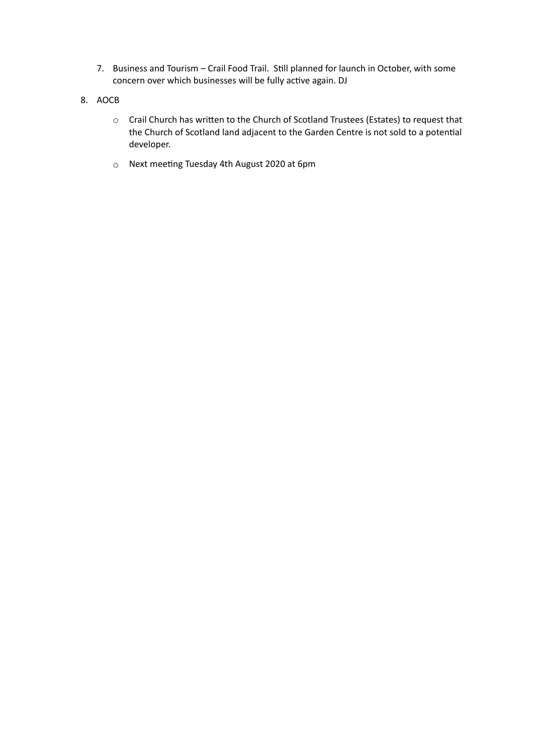- 7. Business and Tourism Crail Food Trail. Still planned for launch in October, with some concern over which businesses will be fully active again. DJ
- 8. AOCB
	- o Crail Church has written to the Church of Scotland Trustees (Estates) to request that the Church of Scotland land adjacent to the Garden Centre is not sold to a potential developer.
	- $\circ$  Next meeting Tuesday 4th August 2020 at 6pm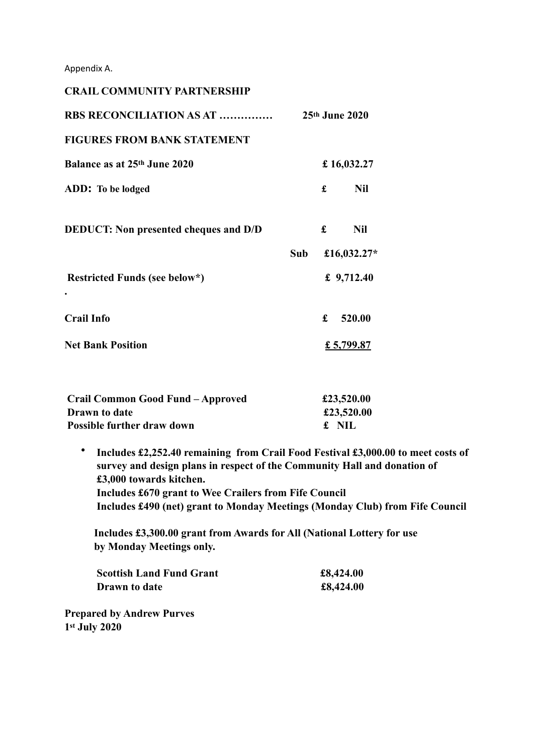Appendix A.

| <b>CRAIL COMMUNITY PARTNERSHIP</b>           |     |                  |              |
|----------------------------------------------|-----|------------------|--------------|
| <b>RBS RECONCILIATION AS AT </b>             |     | $25th$ June 2020 |              |
| <b>FIGURES FROM BANK STATEMENT</b>           |     |                  |              |
| Balance as at 25th June 2020                 |     |                  | £16,032.27   |
| ADD: To be lodged                            |     | £                | <b>Nil</b>   |
| <b>DEDUCT:</b> Non presented cheques and D/D |     | £                | <b>Nil</b>   |
|                                              | Sub |                  | £16,032.27*  |
| Restricted Funds (see below*)                |     |                  | £ $9,712.40$ |
| <b>Crail Info</b>                            |     | £                | 520.00       |
| <b>Net Bank Position</b>                     |     |                  | £ 5,799.87   |
|                                              |     |                  |              |

| Crail Common Good Fund - Approved | £23,520.00 |
|-----------------------------------|------------|
| Drawn to date                     | £23,520.00 |
| Possible further draw down        | £ NIL      |

• **Includes £2,252.40 remaining from Crail Food Festival £3,000.00 to meet costs of survey and design plans in respect of the Community Hall and donation of £3,000 towards kitchen. Includes £670 grant to Wee Crailers from Fife Council Includes £490 (net) grant to Monday Meetings (Monday Club) from Fife Council** 

 **Includes £3,300.00 grant from Awards for All (National Lottery for use by Monday Meetings only.** 

| <b>Scottish Land Fund Grant</b> | £8,424.00 |
|---------------------------------|-----------|
| <b>Drawn</b> to date            | £8,424.00 |

**Prepared by Andrew Purves 1st July 2020**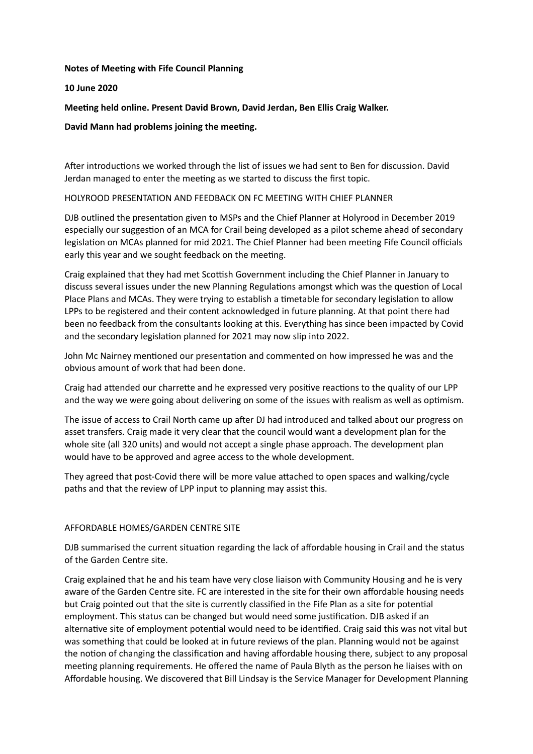#### **Notes of Meeting with Fife Council Planning**

# **10 June 2020**

**Meeting held online. Present David Brown, David Jerdan, Ben Ellis Craig Walker.** 

# **David Mann had problems joining the meeting.**

After introductions we worked through the list of issues we had sent to Ben for discussion. David Jerdan managed to enter the meeting as we started to discuss the first topic.

# HOLYROOD PRESENTATION AND FEEDBACK ON FC MEETING WITH CHIEF PLANNER

DJB outlined the presentation given to MSPs and the Chief Planner at Holyrood in December 2019 especially our suggestion of an MCA for Crail being developed as a pilot scheme ahead of secondary legislation on MCAs planned for mid 2021. The Chief Planner had been meeting Fife Council officials early this year and we sought feedback on the meeting.

Craig explained that they had met Scottish Government including the Chief Planner in January to discuss several issues under the new Planning Regulations amongst which was the question of Local Place Plans and MCAs. They were trying to establish a timetable for secondary legislation to allow LPPs to be registered and their content acknowledged in future planning. At that point there had been no feedback from the consultants looking at this. Everything has since been impacted by Covid and the secondary legislation planned for 2021 may now slip into 2022.

John Mc Nairney mentioned our presentation and commented on how impressed he was and the obvious amount of work that had been done.

Craig had attended our charrette and he expressed very positive reactions to the quality of our LPP and the way we were going about delivering on some of the issues with realism as well as optimism.

The issue of access to Crail North came up after DJ had introduced and talked about our progress on asset transfers. Craig made it very clear that the council would want a development plan for the whole site (all 320 units) and would not accept a single phase approach. The development plan would have to be approved and agree access to the whole development.

They agreed that post-Covid there will be more value attached to open spaces and walking/cycle paths and that the review of LPP input to planning may assist this.

#### AFFORDABLE HOMES/GARDEN CENTRE SITE

DJB summarised the current situation regarding the lack of affordable housing in Crail and the status of the Garden Centre site.

Craig explained that he and his team have very close liaison with Community Housing and he is very aware of the Garden Centre site. FC are interested in the site for their own affordable housing needs but Craig pointed out that the site is currently classified in the Fife Plan as a site for potential employment. This status can be changed but would need some justification. DJB asked if an alternative site of employment potential would need to be identified. Craig said this was not vital but was something that could be looked at in future reviews of the plan. Planning would not be against the notion of changing the classification and having affordable housing there, subject to any proposal meeting planning requirements. He offered the name of Paula Blyth as the person he liaises with on Affordable housing. We discovered that Bill Lindsay is the Service Manager for Development Planning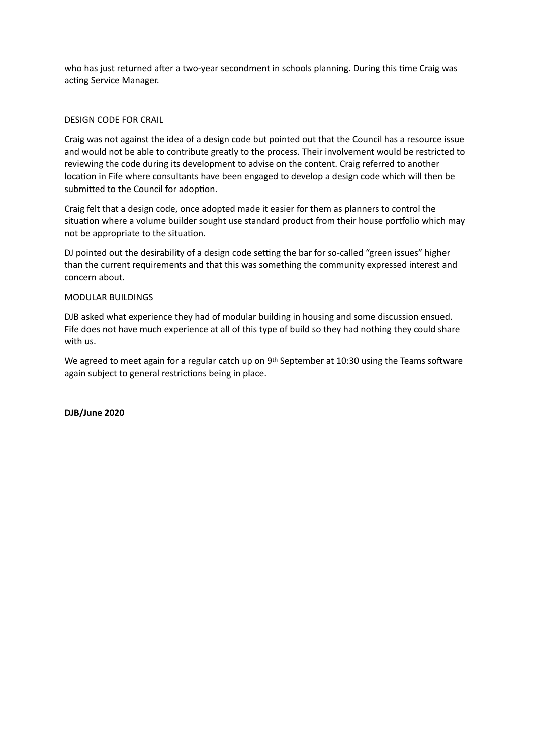who has just returned after a two-year secondment in schools planning. During this time Craig was acting Service Manager.

#### DESIGN CODE FOR CRAIL

Craig was not against the idea of a design code but pointed out that the Council has a resource issue and would not be able to contribute greatly to the process. Their involvement would be restricted to reviewing the code during its development to advise on the content. Craig referred to another location in Fife where consultants have been engaged to develop a design code which will then be submitted to the Council for adoption.

Craig felt that a design code, once adopted made it easier for them as planners to control the situation where a volume builder sought use standard product from their house portfolio which may not be appropriate to the situation.

DJ pointed out the desirability of a design code setting the bar for so-called "green issues" higher than the current requirements and that this was something the community expressed interest and concern about.

#### MODULAR BUILDINGS

DJB asked what experience they had of modular building in housing and some discussion ensued. Fife does not have much experience at all of this type of build so they had nothing they could share with us.

We agreed to meet again for a regular catch up on 9<sup>th</sup> September at 10:30 using the Teams software again subject to general restrictions being in place.

**DJB/June 2020**